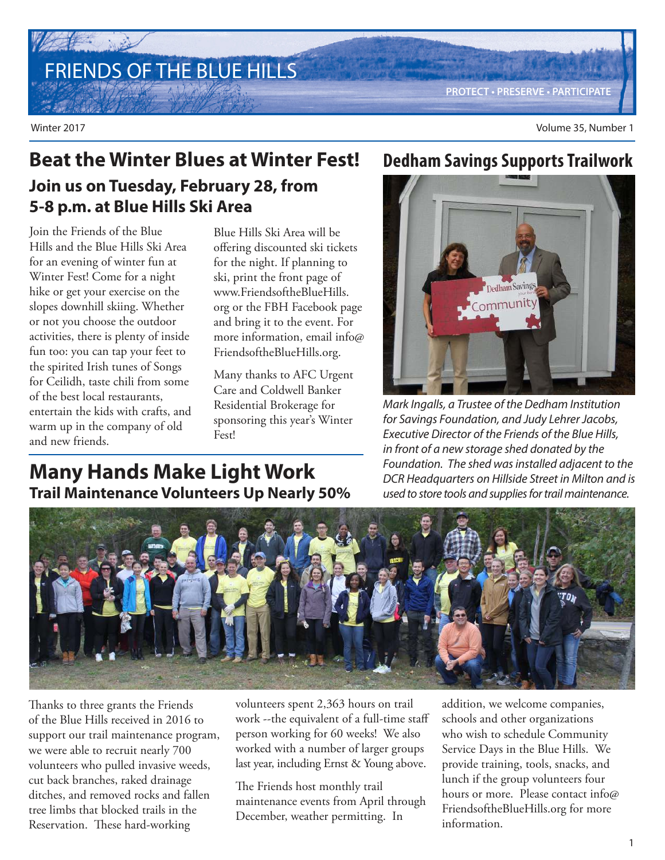

Winter 2017 Volume 35, Number 1

### **Join us on Tuesday, February 28, from 5-8 p.m. at Blue Hills Ski Area Beat the Winter Blues at Winter Fest!**

Join the Friends of the Blue Hills and the Blue Hills Ski Area for an evening of winter fun at Winter Fest! Come for a night hike or get your exercise on the slopes downhill skiing. Whether or not you choose the outdoor activities, there is plenty of inside fun too: you can tap your feet to the spirited Irish tunes of Songs for Ceilidh, taste chili from some of the best local restaurants, entertain the kids with crafts, and warm up in the company of old and new friends.

Blue Hills Ski Area will be offering discounted ski tickets for the night. If planning to ski, print the front page of www.FriendsoftheBlueHills. org or the FBH Facebook page and bring it to the event. For more information, email info@ FriendsoftheBlueHills.org.

Many thanks to AFC Urgent Care and Coldwell Banker Residential Brokerage for sponsoring this year's Winter Fest!

### **Dedham Savings Supports Trailwork**



Mark Ingalls, a Trustee of the Dedham Institution for Savings Foundation, and Judy Lehrer Jacobs, Executive Director of the Friends of the Blue Hills, in front of a new storage shed donated by the Foundation. The shed was installed adjacent to the DCR Headquarters on Hillside Street in Milton and is used to store tools and supplies for trail maintenance.

### **Many Hands Make Light Work Trail Maintenance Volunteers Up Nearly 50%**



Thanks to three grants the Friends of the Blue Hills received in 2016 to support our trail maintenance program, we were able to recruit nearly 700 volunteers who pulled invasive weeds, cut back branches, raked drainage ditches, and removed rocks and fallen tree limbs that blocked trails in the Reservation. These hard-working

volunteers spent 2,363 hours on trail work --the equivalent of a full-time staff person working for 60 weeks! We also worked with a number of larger groups last year, including Ernst & Young above.

The Friends host monthly trail maintenance events from April through December, weather permitting. In

addition, we welcome companies, schools and other organizations who wish to schedule Community Service Days in the Blue Hills. We provide training, tools, snacks, and lunch if the group volunteers four hours or more. Please contact info@ FriendsoftheBlueHills.org for more information.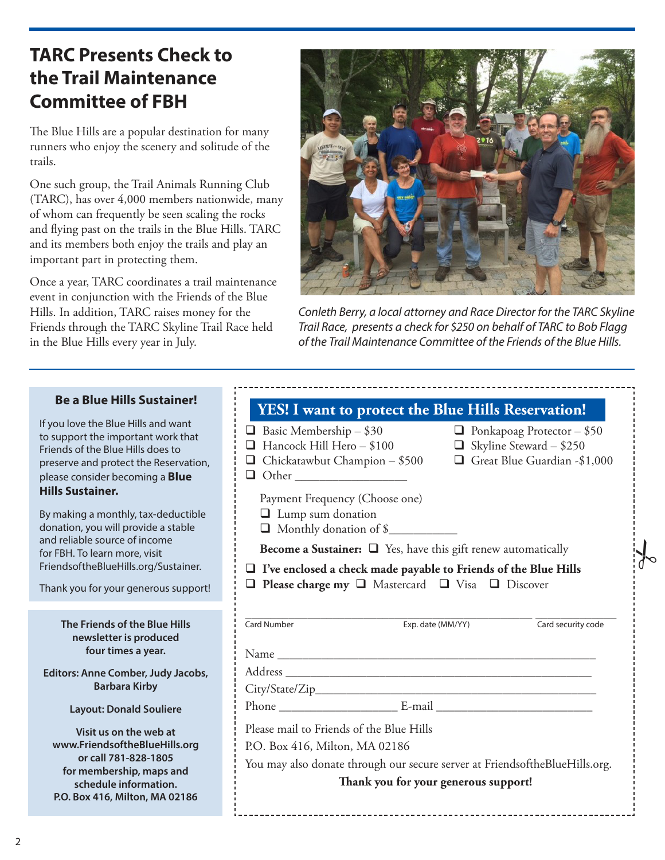### **TARC Presents Check to the Trail Maintenance Committee of FBH**

The Blue Hills are a popular destination for many runners who enjoy the scenery and solitude of the trails.

One such group, the Trail Animals Running Club (TARC), has over 4,000 members nationwide, many of whom can frequently be seen scaling the rocks and flying past on the trails in the Blue Hills. TARC and its members both enjoy the trails and play an important part in protecting them.

Once a year, TARC coordinates a trail maintenance event in conjunction with the Friends of the Blue Hills. In addition, TARC raises money for the Friends through the TARC Skyline Trail Race held in the Blue Hills every year in July.



Conleth Berry, a local attorney and Race Director for the TARC Skyline Trail Race, presents a check for \$250 on behalf of TARC to Bob Flagg of the Trail Maintenance Committee of the Friends of the Blue Hills.

| <b>Be a Blue Hills Sustainer!</b>                                                                                                                                                                                                                                                                                                                                                                                                                            | <b>YES!</b> I want to protect the Blue Hills Reservation!                                                                                                                                                                                                                                                                                                                                                                                                                                                                                     |
|--------------------------------------------------------------------------------------------------------------------------------------------------------------------------------------------------------------------------------------------------------------------------------------------------------------------------------------------------------------------------------------------------------------------------------------------------------------|-----------------------------------------------------------------------------------------------------------------------------------------------------------------------------------------------------------------------------------------------------------------------------------------------------------------------------------------------------------------------------------------------------------------------------------------------------------------------------------------------------------------------------------------------|
| If you love the Blue Hills and want<br>to support the important work that<br>Friends of the Blue Hills does to<br>preserve and protect the Reservation,<br>please consider becoming a <b>Blue</b><br><b>Hills Sustainer.</b><br>By making a monthly, tax-deductible<br>donation, you will provide a stable<br>and reliable source of income<br>for FBH. To learn more, visit<br>FriendsoftheBlueHills.org/Sustainer.<br>Thank you for your generous support! | <b>a</b> Basic Membership $-$ \$30<br>$\Box$ Ponkapoag Protector - \$50<br>$\Box$ Hancock Hill Hero - \$100<br>$\Box$ Skyline Steward - \$250<br>Great Blue Guardian -\$1,000<br>$\Box$ Chickatawbut Champion – \$500<br>Payment Frequency (Choose one)<br>$\Box$ Lump sum donation<br>Monthly donation of \$<br><b>Become a Sustainer:</b> $\Box$ Yes, have this gift renew automatically<br>$\Box$ I've enclosed a check made payable to Friends of the Blue Hills<br>$\Box$ Please charge my $\Box$ Mastercard $\Box$ Visa $\Box$ Discover |
| The Friends of the Blue Hills<br>newsletter is produced<br>four times a year.                                                                                                                                                                                                                                                                                                                                                                                | Card Number<br>Exp. date (MM/YY)<br>Card security code                                                                                                                                                                                                                                                                                                                                                                                                                                                                                        |
| Editors: Anne Comber, Judy Jacobs,<br><b>Barbara Kirby</b>                                                                                                                                                                                                                                                                                                                                                                                                   |                                                                                                                                                                                                                                                                                                                                                                                                                                                                                                                                               |
| <b>Layout: Donald Souliere</b>                                                                                                                                                                                                                                                                                                                                                                                                                               |                                                                                                                                                                                                                                                                                                                                                                                                                                                                                                                                               |
| Visit us on the web at<br>www.FriendsoftheBlueHills.org<br>or call 781-828-1805<br>for membership, maps and<br>schedule information.<br>P.O. Box 416, Milton, MA 02186                                                                                                                                                                                                                                                                                       | Please mail to Friends of the Blue Hills<br>P.O. Box 416, Milton, MA 02186<br>You may also donate through our secure server at FriendsoftheBlueHills.org.<br>Thank you for your generous support!                                                                                                                                                                                                                                                                                                                                             |
|                                                                                                                                                                                                                                                                                                                                                                                                                                                              |                                                                                                                                                                                                                                                                                                                                                                                                                                                                                                                                               |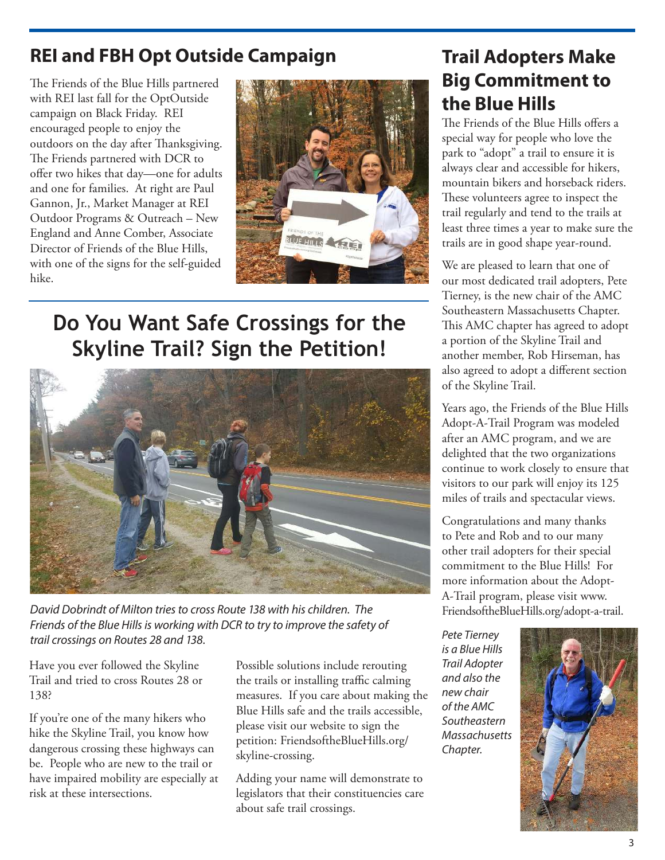## **REI and FBH Opt Outside Campaign**

The Friends of the Blue Hills partnered with REI last fall for the OptOutside campaign on Black Friday. REI encouraged people to enjoy the outdoors on the day after Thanksgiving. The Friends partnered with DCR to offer two hikes that day—one for adults and one for families. At right are Paul Gannon, Jr., Market Manager at REI Outdoor Programs & Outreach – New England and Anne Comber, Associate Director of Friends of the Blue Hills, with one of the signs for the self-guided hike.



# **Do You Want Safe Crossings for the Skyline Trail? Sign the Petition!**



David Dobrindt of Milton tries to cross Route 138 with his children. The Friends of the Blue Hills is working with DCR to try to improve the safety of trail crossings on Routes 28 and 138.

Have you ever followed the Skyline Trail and tried to cross Routes 28 or 138?

If you're one of the many hikers who hike the Skyline Trail, you know how dangerous crossing these highways can be. People who are new to the trail or have impaired mobility are especially at risk at these intersections.

Possible solutions include rerouting the trails or installing traffic calming measures. If you care about making the Blue Hills safe and the trails accessible, please visit our website to sign the petition: FriendsoftheBlueHills.org/ skyline-crossing.

Adding your name will demonstrate to legislators that their constituencies care about safe trail crossings.

### **Trail Adopters Make Big Commitment to the Blue Hills**

The Friends of the Blue Hills offers a special way for people who love the park to "adopt" a trail to ensure it is always clear and accessible for hikers, mountain bikers and horseback riders. These volunteers agree to inspect the trail regularly and tend to the trails at least three times a year to make sure the trails are in good shape year-round.

We are pleased to learn that one of our most dedicated trail adopters, Pete Tierney, is the new chair of the AMC Southeastern Massachusetts Chapter. This AMC chapter has agreed to adopt a portion of the Skyline Trail and another member, Rob Hirseman, has also agreed to adopt a different section of the Skyline Trail.

Years ago, the Friends of the Blue Hills Adopt-A-Trail Program was modeled after an AMC program, and we are delighted that the two organizations continue to work closely to ensure that visitors to our park will enjoy its 125 miles of trails and spectacular views.

Congratulations and many thanks to Pete and Rob and to our many other trail adopters for their special commitment to the Blue Hills! For more information about the Adopt-A-Trail program, please visit www. FriendsoftheBlueHills.org/adopt-a-trail.

Pete Tierney is a Blue Hills Trail Adopter and also the new chair of the AMC Southeastern **Massachusetts** Chapter.

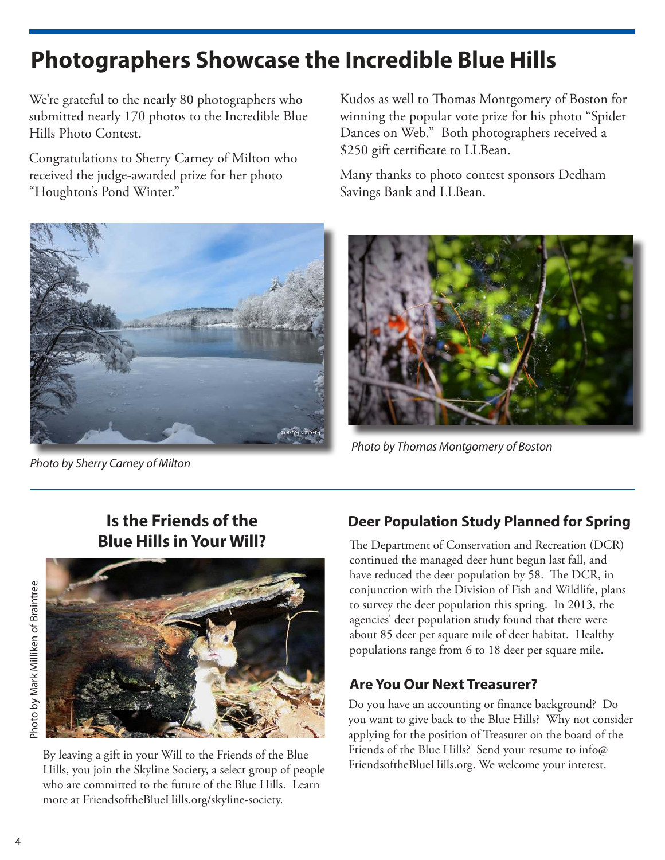# **Photographers Showcase the Incredible Blue Hills**

We're grateful to the nearly 80 photographers who submitted nearly 170 photos to the Incredible Blue Hills Photo Contest.

Congratulations to Sherry Carney of Milton who received the judge-awarded prize for her photo "Houghton's Pond Winter."



Photo by Sherry Carney of Milton

Kudos as well to Thomas Montgomery of Boston for winning the popular vote prize for his photo "Spider Dances on Web." Both photographers received a \$250 gift certificate to LLBean.

Many thanks to photo contest sponsors Dedham Savings Bank and LLBean.



Photo by Thomas Montgomery of Boston

### **Is the Friends of the Blue Hills in Your Will?**





By leaving a gift in your Will to the Friends of the Blue Hills, you join the Skyline Society, a select group of people who are committed to the future of the Blue Hills. Learn more at FriendsoftheBlueHills.org/skyline-society.

### **Deer Population Study Planned for Spring**

The Department of Conservation and Recreation (DCR) continued the managed deer hunt begun last fall, and have reduced the deer population by 58. The DCR, in conjunction with the Division of Fish and Wildlife, plans to survey the deer population this spring. In 2013, the agencies' deer population study found that there were about 85 deer per square mile of deer habitat. Healthy populations range from 6 to 18 deer per square mile.

### **Are You Our Next Treasurer?**

Do you have an accounting or finance background? Do you want to give back to the Blue Hills? Why not consider applying for the position of Treasurer on the board of the Friends of the Blue Hills? Send your resume to info@ FriendsoftheBlueHills.org. We welcome your interest.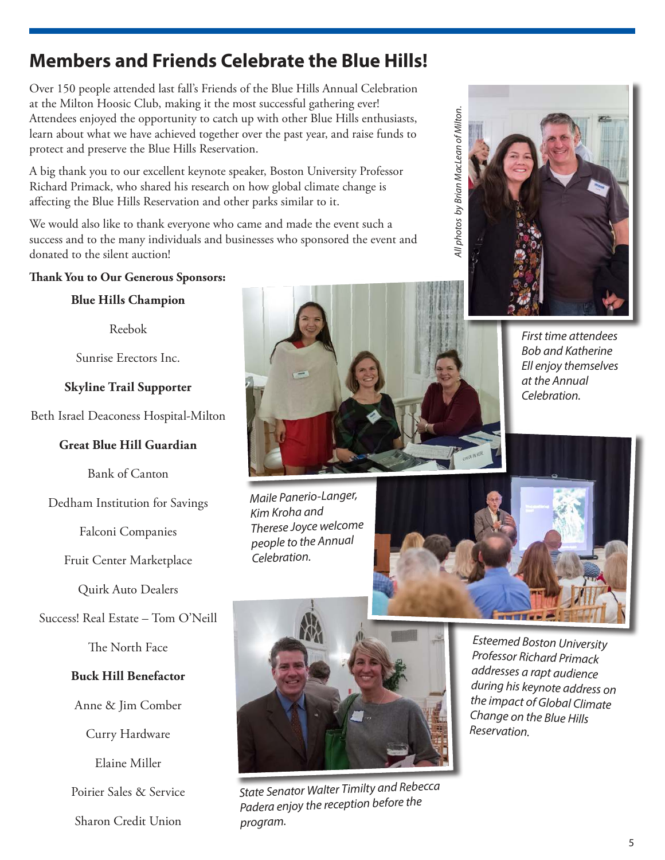### **Members and Friends Celebrate the Blue Hills!**

Over 150 people attended last fall's Friends of the Blue Hills Annual Celebration at the Milton Hoosic Club, making it the most successful gathering ever! Attendees enjoyed the opportunity to catch up with other Blue Hills enthusiasts, learn about what we have achieved together over the past year, and raise funds to protect and preserve the Blue Hills Reservation.

A big thank you to our excellent keynote speaker, Boston University Professor Richard Primack, who shared his research on how global climate change is affecting the Blue Hills Reservation and other parks similar to it.

We would also like to thank everyone who came and made the event such a success and to the many individuals and businesses who sponsored the event and donated to the silent auction!

#### **Thank You to Our Generous Sponsors:**

#### **Blue Hills Champion**

Reebok

Sunrise Erectors Inc.

#### **Skyline Trail Supporter**

Beth Israel Deaconess Hospital-Milton

#### **Great Blue Hill Guardian**

Bank of Canton

Dedham Institution for Savings

Falconi Companies

Fruit Center Marketplace

Quirk Auto Dealers

Success! Real Estate – Tom O'Neill

The North Face

#### **Buck Hill Benefactor**

Anne & Jim Comber

Curry Hardware

Elaine Miller

Poirier Sales & Service

Sharon Credit Union



First time attendees Bob and Katherine Ell enjoy themselves at the Annual Celebration.

Maile Panerio-Langer, Kim Kroha and Therese Joyce welcome people to the Annual Celebration.



All photos by Brian MacLean of Milton.

All photos by Brian MacLean of Milton.



State Senator Walter Timilty and Rebecca Padera enjoy the reception before the program.

Esteemed Boston University Professor Richard Primack addresses a rapt audience during his keynote address on the impact of Global Climate Change on the Blue Hills Reservation.